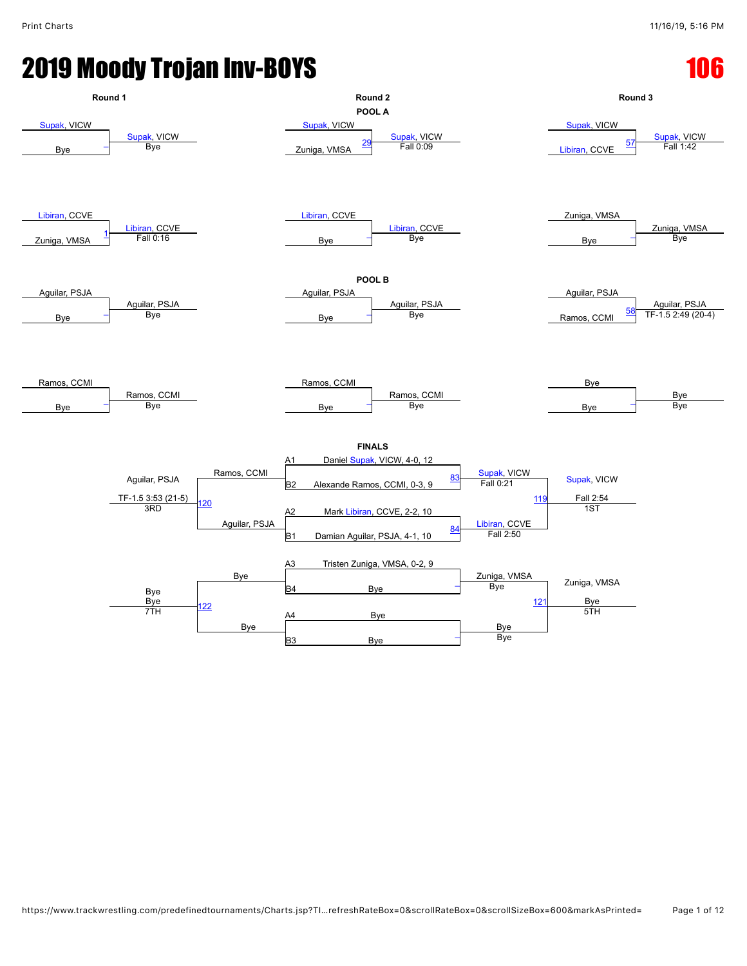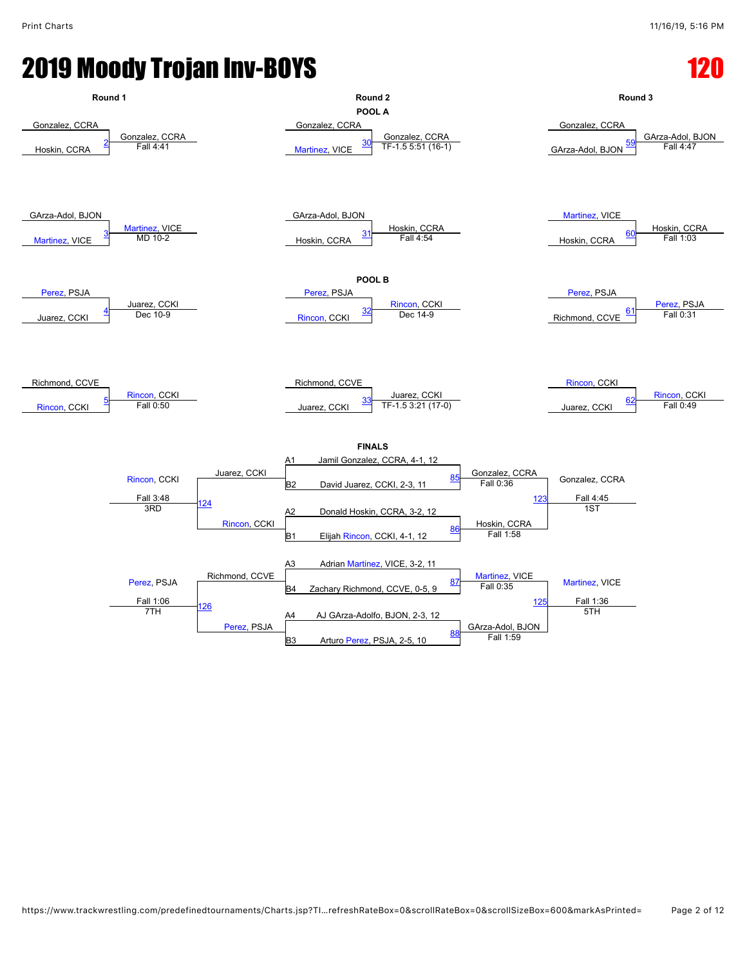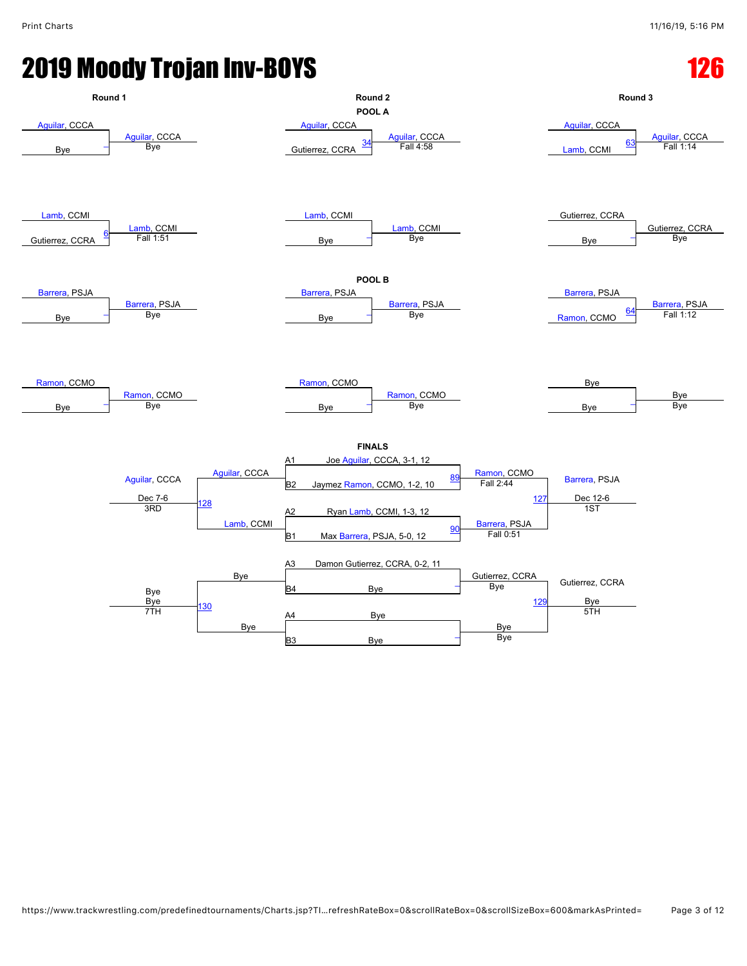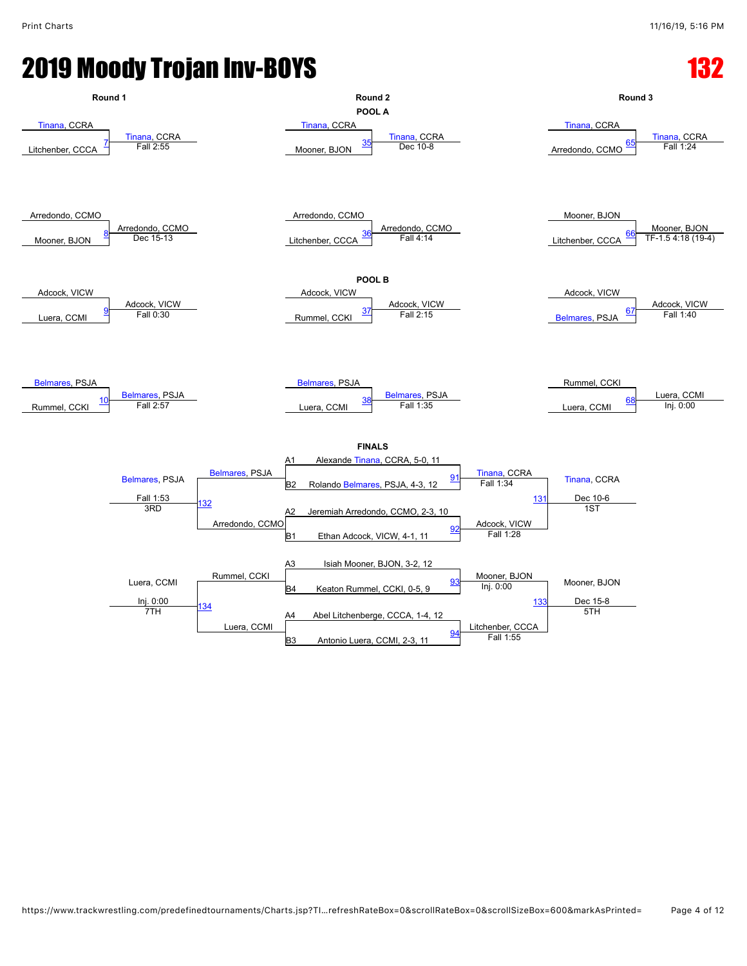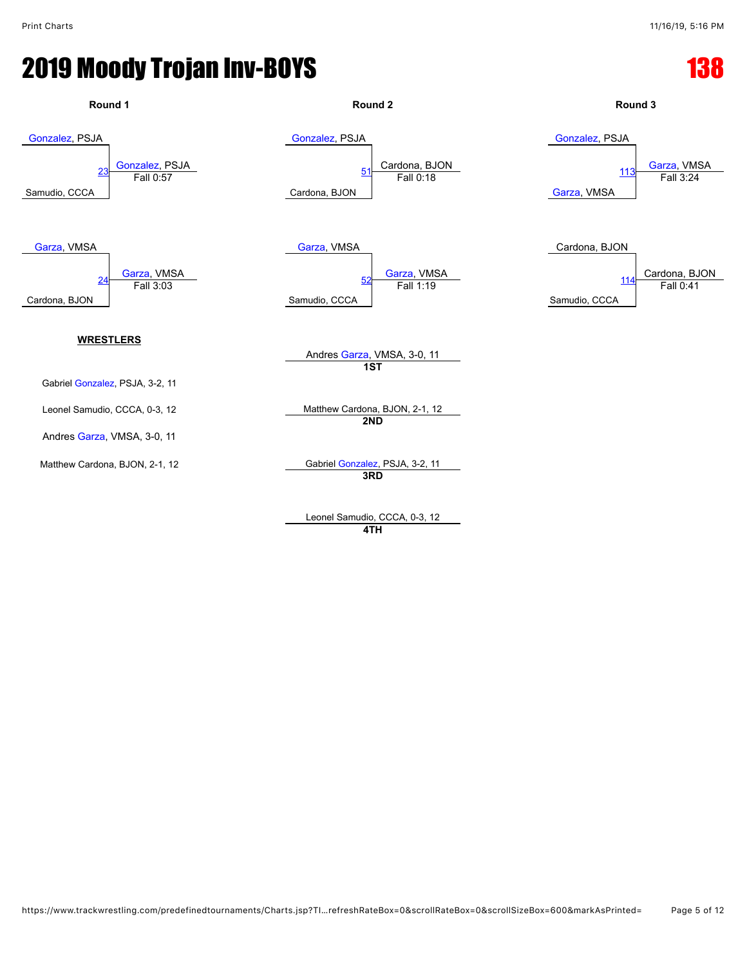

Leonel Samudio, CCCA, 0-3, 12 **4TH**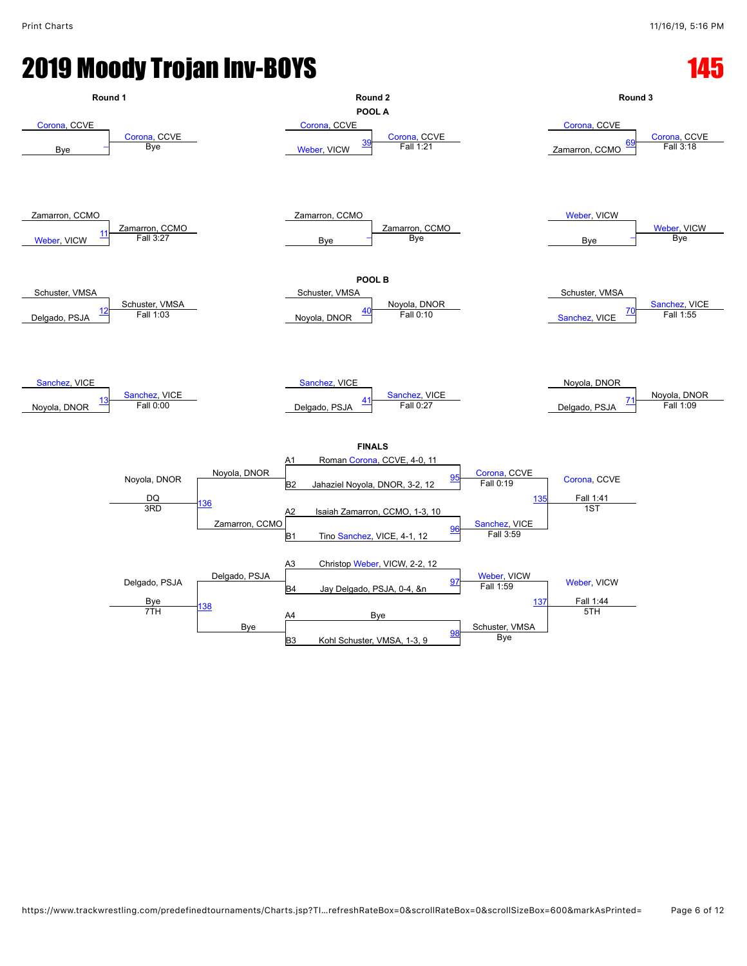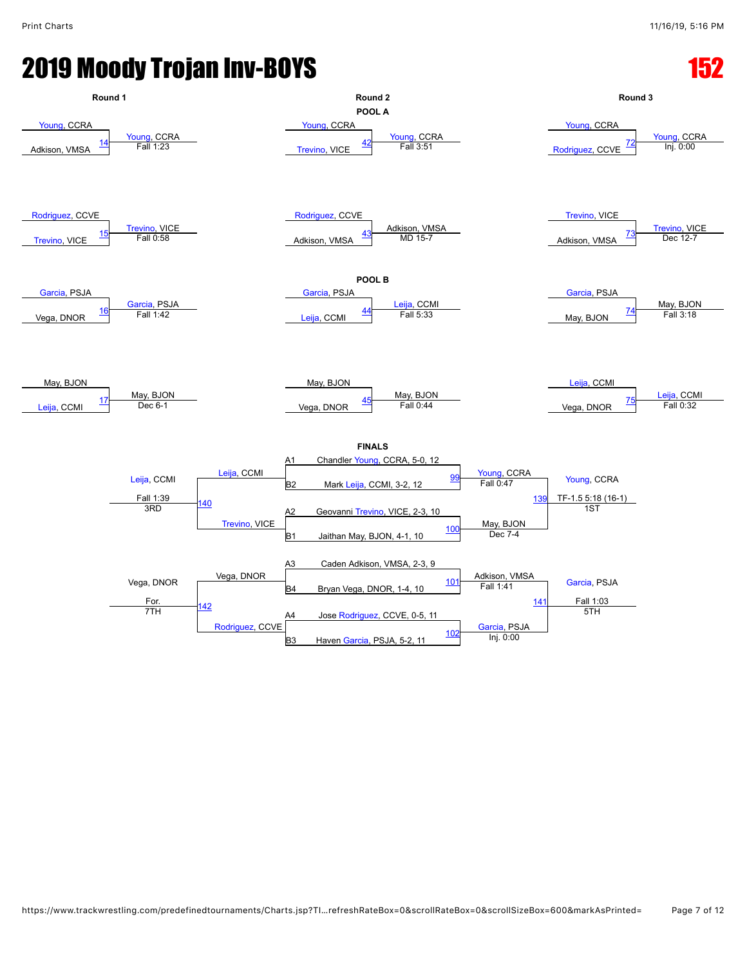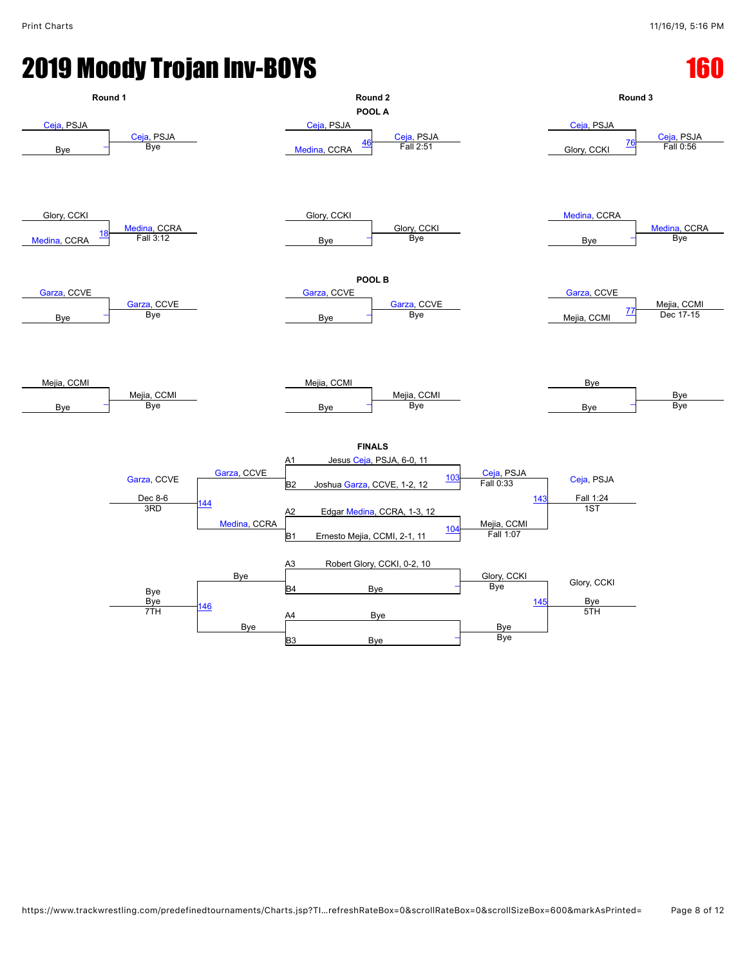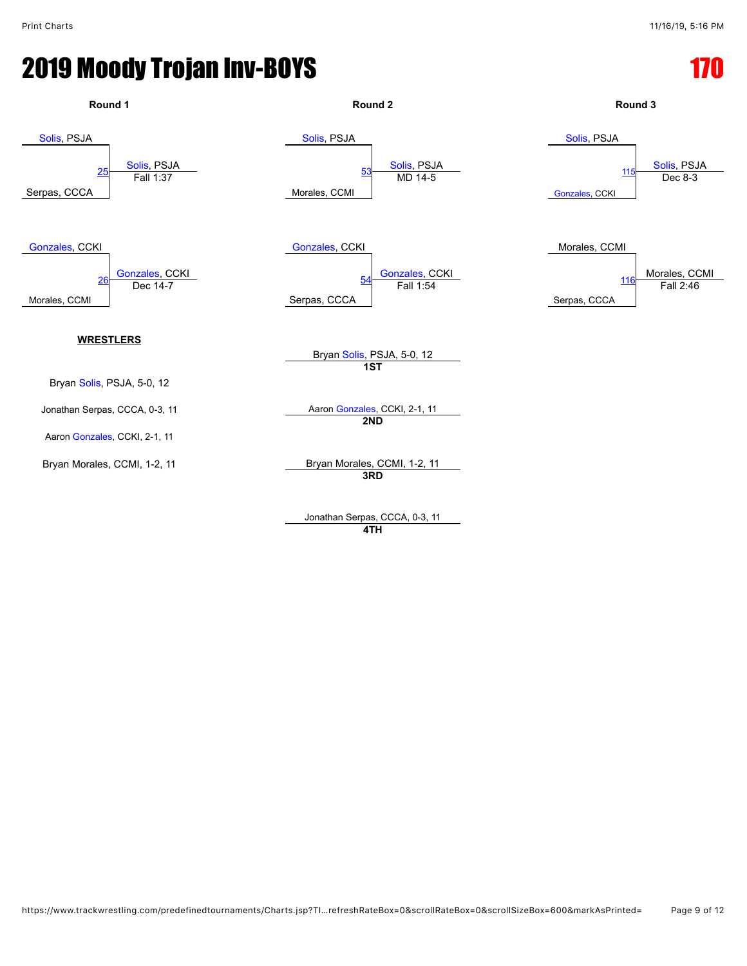

Jonathan Serpas, CCCA, 0-3, 11 **4TH**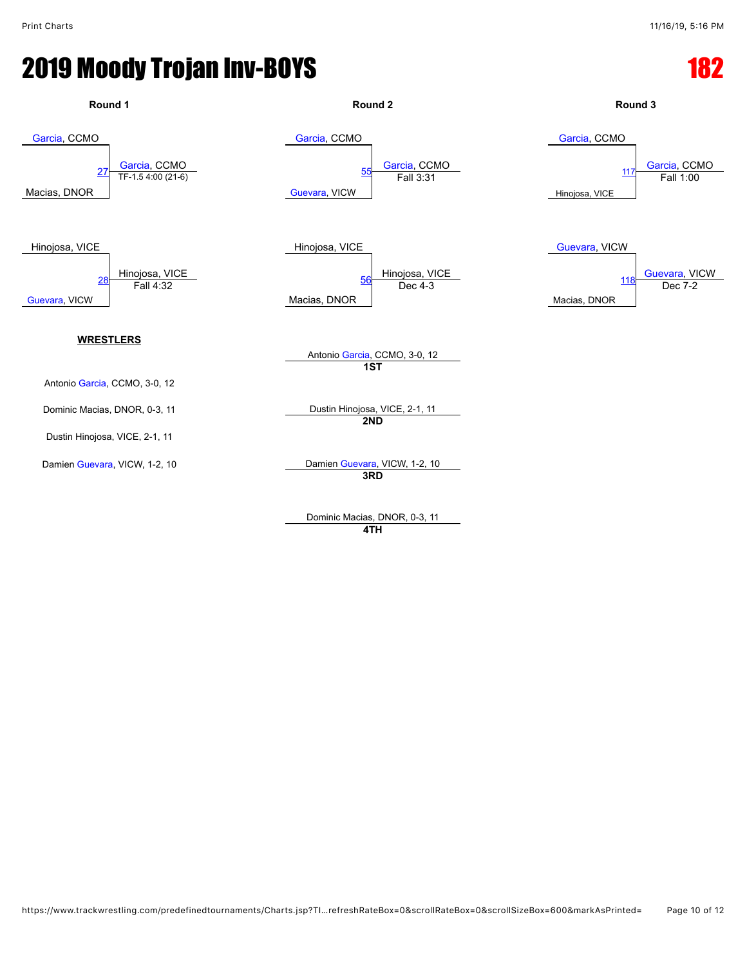

Dominic Macias, DNOR, 0-3, 11 **4TH**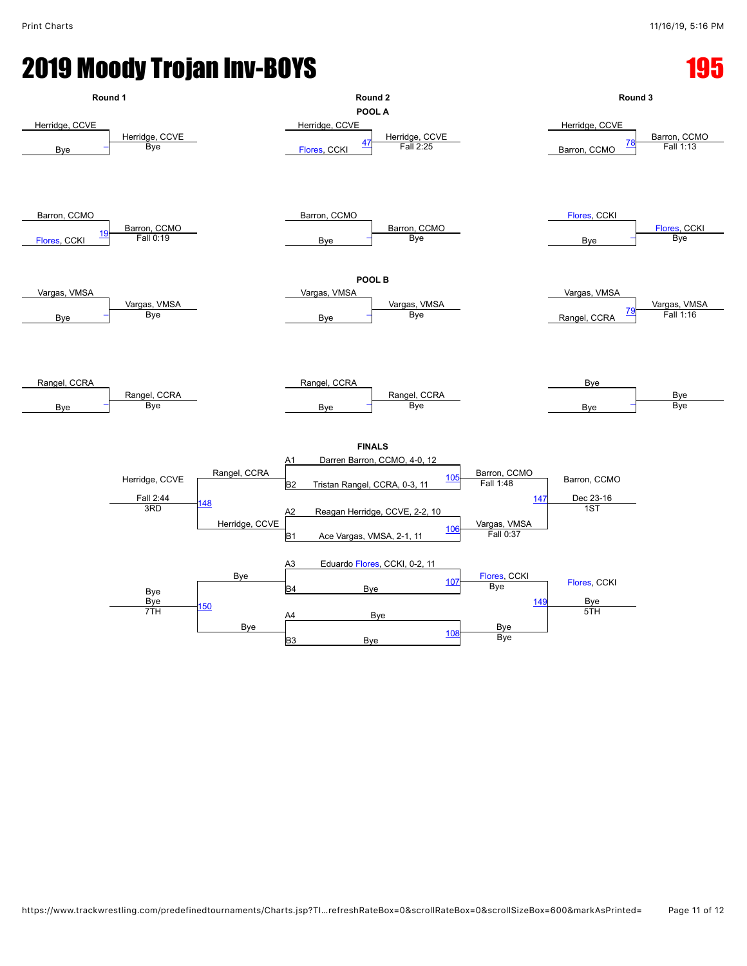